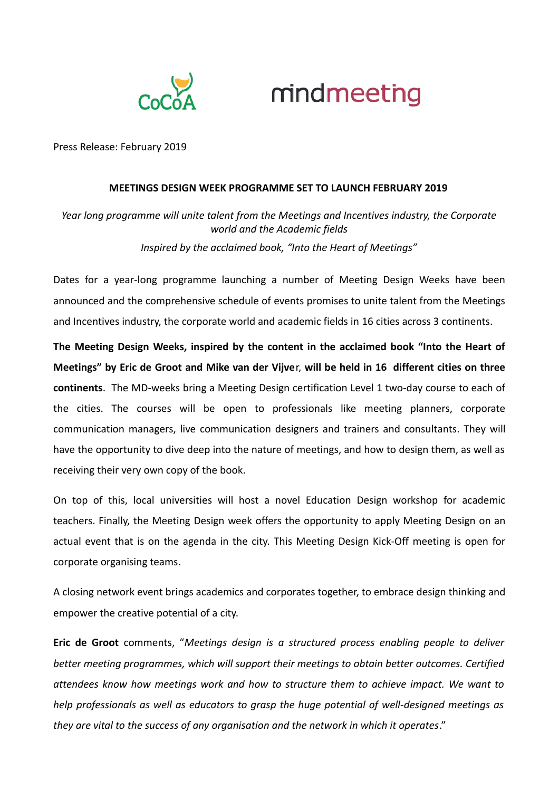



Press Release: February 2019

## **MEETINGS DESIGN WEEK PROGRAMME SET TO LAUNCH FEBRUARY 2019**

*Year long programme will unite talent from the Meetings and Incentives industry, the Corporate world and the Academic fields Inspired by the acclaimed book, "Into the Heart of Meetings"*

Dates for a year-long programme launching a number of Meeting Design Weeks have been announced and the comprehensive schedule of events promises to unite talent from the Meetings and Incentives industry, the corporate world and academic fields in 16 cities across 3 continents.

**The Meeting Design Weeks, inspired by the content in the acclaimed book "Into the Heart of Meetings" by Eric de Groot and Mike van der Vijve**r, **will be held in 16 different cities on three continents**. The MD-weeks bring a Meeting Design certification Level 1 two-day course to each of the cities. The courses will be open to professionals like meeting planners, corporate communication managers, live communication designers and trainers and consultants. They will have the opportunity to dive deep into the nature of meetings, and how to design them, as well as receiving their very own copy of the book.

On top of this, local universities will host a novel Education Design workshop for academic teachers. Finally, the Meeting Design week offers the opportunity to apply Meeting Design on an actual event that is on the agenda in the city. This Meeting Design Kick-Off meeting is open for corporate organising teams.

A closing network event brings academics and corporates together, to embrace design thinking and empower the creative potential of a city.

**Eric de Groot** comments, "*Meetings design is a structured process enabling people to deliver better meeting programmes, which will support their meetings to obtain better outcomes. Certified attendees know how meetings work and how to structure them to achieve impact. We want to help professionals as well as educators to grasp the huge potential of well-designed meetings as they are vital to the success of any organisation and the network in which it operates*."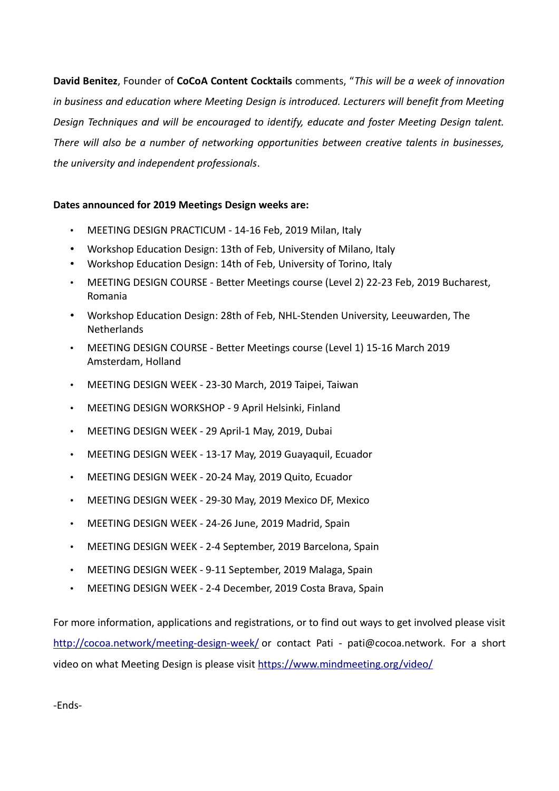**David Benitez**, Founder of **CoCoA Content Cocktails** comments, "*This will be a week of innovation in business and education where Meeting Design is introduced. Lecturers will benefit from Meeting Design Techniques and will be encouraged to identify, educate and foster Meeting Design talent. There will also be a number of networking opportunities between creative talents in businesses, the university and independent professionals*.

## **Dates announced for 2019 Meetings Design weeks are:**

- MEETING DESIGN PRACTICUM 14-16 Feb, 2019 Milan, Italy
- Workshop Education Design: 13th of Feb, University of Milano, Italy
- Workshop Education Design: 14th of Feb, University of Torino, Italy
- MEETING DESIGN COURSE Better Meetings course (Level 2) 22-23 Feb, 2019 Bucharest, Romania
- Workshop Education Design: 28th of Feb, NHL-Stenden University, Leeuwarden, The Netherlands
- MEETING DESIGN COURSE Better Meetings course (Level 1) 15-16 March 2019 Amsterdam, Holland
- MEETING DESIGN WEEK 23-30 March, 2019 Taipei, Taiwan
- MEETING DESIGN WORKSHOP 9 April Helsinki, Finland
- MEETING DESIGN WEEK 29 April-1 May, 2019, Dubai
- MEETING DESIGN WEEK 13-17 May, 2019 Guayaquil, Ecuador
- MEETING DESIGN WEEK 20-24 May, 2019 Quito, Ecuador
- MEETING DESIGN WEEK 29-30 May, 2019 Mexico DF, Mexico
- MEETING DESIGN WEEK 24-26 June, 2019 Madrid, Spain
- MEETING DESIGN WEEK 2-4 September, 2019 Barcelona, Spain
- MEETING DESIGN WEEK 9-11 September, 2019 Malaga, Spain
- MEETING DESIGN WEEK 2-4 December, 2019 Costa Brava, Spain

For more information, applications and registrations, or to find out ways to get involved please visit <http://cocoa.network/meeting-design-week/> or contact Pati - pati@cocoa.network. For a short video on what Meeting Design is please visit<https://www.mindmeeting.org/video/>

-Ends-